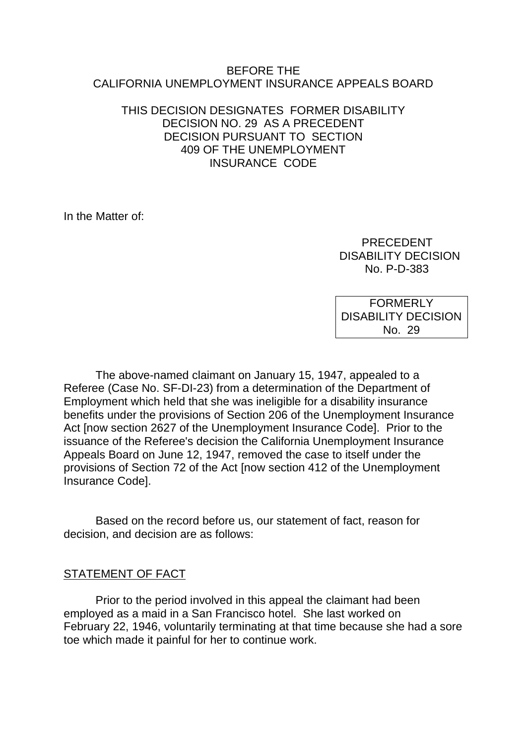#### BEFORE THE CALIFORNIA UNEMPLOYMENT INSURANCE APPEALS BOARD

### THIS DECISION DESIGNATES FORMER DISABILITY DECISION NO. 29 AS A PRECEDENT DECISION PURSUANT TO SECTION 409 OF THE UNEMPLOYMENT INSURANCE CODE

In the Matter of:

 PRECEDENT DISABILITY DECISION No. P-D-383

FORMERLY DISABILITY DECISION No. 29

The above-named claimant on January 15, 1947, appealed to a Referee (Case No. SF-DI-23) from a determination of the Department of Employment which held that she was ineligible for a disability insurance benefits under the provisions of Section 206 of the Unemployment Insurance Act [now section 2627 of the Unemployment Insurance Code]. Prior to the issuance of the Referee's decision the California Unemployment Insurance Appeals Board on June 12, 1947, removed the case to itself under the provisions of Section 72 of the Act [now section 412 of the Unemployment Insurance Code].

Based on the record before us, our statement of fact, reason for decision, and decision are as follows:

### STATEMENT OF FACT

Prior to the period involved in this appeal the claimant had been employed as a maid in a San Francisco hotel. She last worked on February 22, 1946, voluntarily terminating at that time because she had a sore toe which made it painful for her to continue work.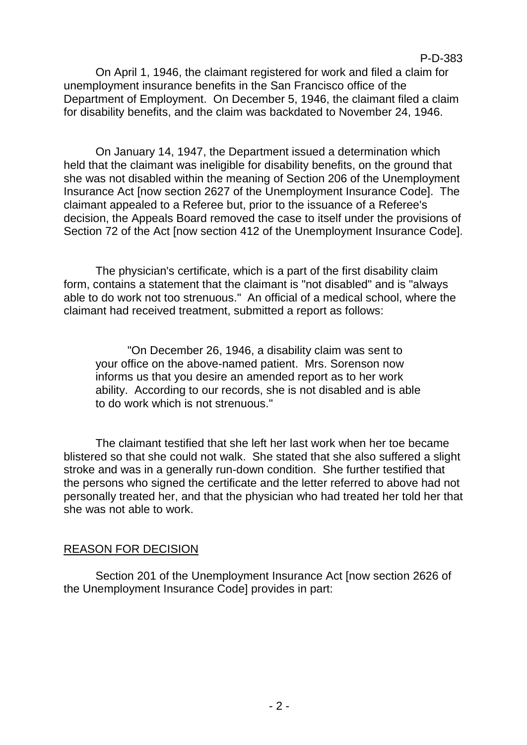### P-D-383

On April 1, 1946, the claimant registered for work and filed a claim for unemployment insurance benefits in the San Francisco office of the Department of Employment. On December 5, 1946, the claimant filed a claim for disability benefits, and the claim was backdated to November 24, 1946.

On January 14, 1947, the Department issued a determination which held that the claimant was ineligible for disability benefits, on the ground that she was not disabled within the meaning of Section 206 of the Unemployment Insurance Act [now section 2627 of the Unemployment Insurance Code]. The claimant appealed to a Referee but, prior to the issuance of a Referee's decision, the Appeals Board removed the case to itself under the provisions of Section 72 of the Act [now section 412 of the Unemployment Insurance Code].

The physician's certificate, which is a part of the first disability claim form, contains a statement that the claimant is "not disabled" and is "always able to do work not too strenuous." An official of a medical school, where the claimant had received treatment, submitted a report as follows:

"On December 26, 1946, a disability claim was sent to your office on the above-named patient. Mrs. Sorenson now informs us that you desire an amended report as to her work ability. According to our records, she is not disabled and is able to do work which is not strenuous."

The claimant testified that she left her last work when her toe became blistered so that she could not walk. She stated that she also suffered a slight stroke and was in a generally run-down condition. She further testified that the persons who signed the certificate and the letter referred to above had not personally treated her, and that the physician who had treated her told her that she was not able to work.

# REASON FOR DECISION

Section 201 of the Unemployment Insurance Act [now section 2626 of the Unemployment Insurance Code] provides in part: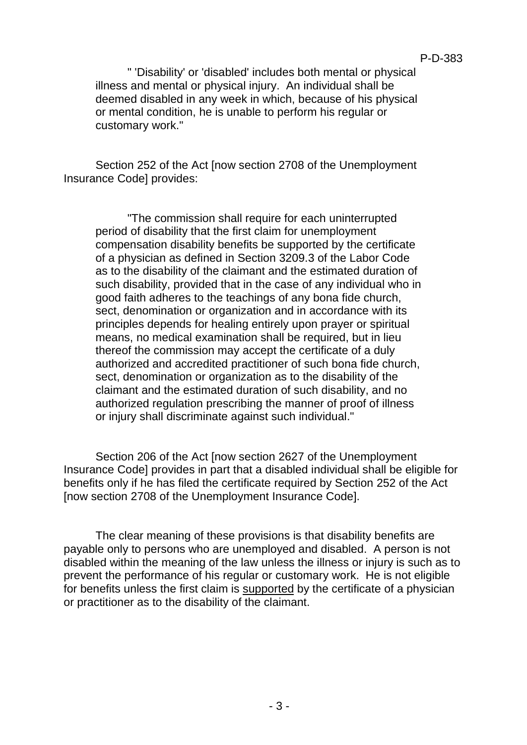" 'Disability' or 'disabled' includes both mental or physical illness and mental or physical injury. An individual shall be deemed disabled in any week in which, because of his physical or mental condition, he is unable to perform his regular or customary work."

Section 252 of the Act [now section 2708 of the Unemployment Insurance Code] provides:

"The commission shall require for each uninterrupted period of disability that the first claim for unemployment compensation disability benefits be supported by the certificate of a physician as defined in Section 3209.3 of the Labor Code as to the disability of the claimant and the estimated duration of such disability, provided that in the case of any individual who in good faith adheres to the teachings of any bona fide church, sect, denomination or organization and in accordance with its principles depends for healing entirely upon prayer or spiritual means, no medical examination shall be required, but in lieu thereof the commission may accept the certificate of a duly authorized and accredited practitioner of such bona fide church, sect, denomination or organization as to the disability of the claimant and the estimated duration of such disability, and no authorized regulation prescribing the manner of proof of illness or injury shall discriminate against such individual."

Section 206 of the Act [now section 2627 of the Unemployment Insurance Code] provides in part that a disabled individual shall be eligible for benefits only if he has filed the certificate required by Section 252 of the Act [now section 2708 of the Unemployment Insurance Code].

The clear meaning of these provisions is that disability benefits are payable only to persons who are unemployed and disabled. A person is not disabled within the meaning of the law unless the illness or injury is such as to prevent the performance of his regular or customary work. He is not eligible for benefits unless the first claim is supported by the certificate of a physician or practitioner as to the disability of the claimant.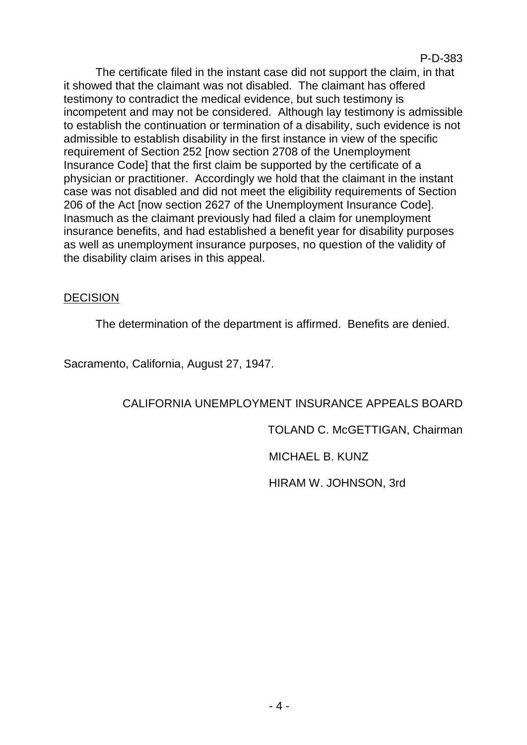#### P-D-383

The certificate filed in the instant case did not support the claim, in that it showed that the claimant was not disabled. The claimant has offered testimony to contradict the medical evidence, but such testimony is incompetent and may not be considered. Although lay testimony is admissible to establish the continuation or termination of a disability, such evidence is not admissible to establish disability in the first instance in view of the specific requirement of Section 252 [now section 2708 of the Unemployment Insurance Code] that the first claim be supported by the certificate of a physician or practitioner. Accordingly we hold that the claimant in the instant case was not disabled and did not meet the eligibility requirements of Section 206 of the Act [now section 2627 of the Unemployment Insurance Code]. Inasmuch as the claimant previously had filed a claim for unemployment insurance benefits, and had established a benefit year for disability purposes as well as unemployment insurance purposes, no question of the validity of the disability claim arises in this appeal.

### **DECISION**

The determination of the department is affirmed. Benefits are denied.

Sacramento, California, August 27, 1947.

# CALIFORNIA UNEMPLOYMENT INSURANCE APPEALS BOARD

TOLAND C. McGETTIGAN, Chairman

MICHAEL B. KUNZ

HIRAM W. JOHNSON, 3rd